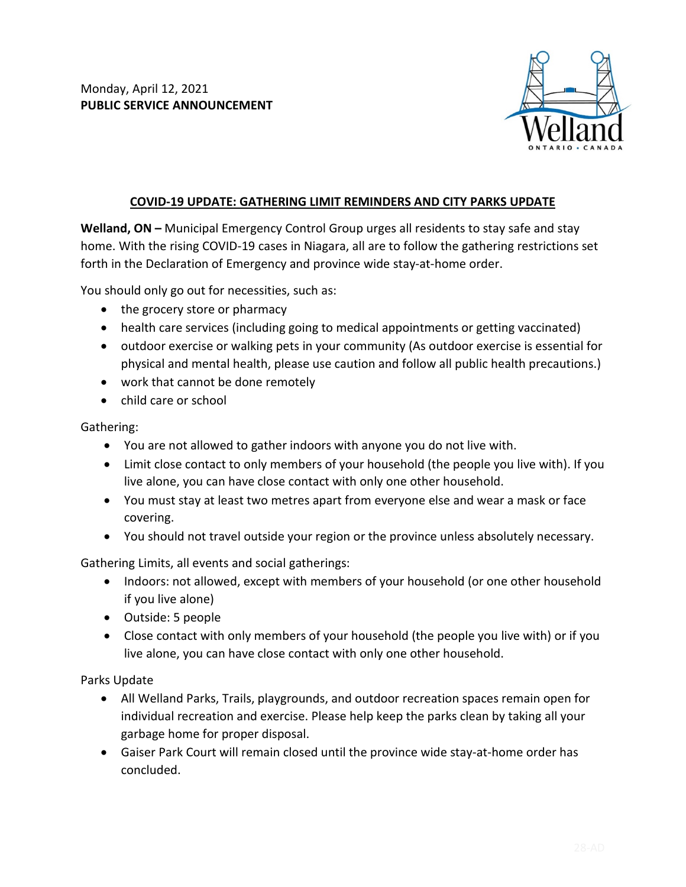

## **COVID-19 UPDATE: GATHERING LIMIT REMINDERS AND CITY PARKS UPDATE**

**Welland, ON –** Municipal Emergency Control Group urges all residents to stay safe and stay home. With the rising COVID-19 cases in Niagara, all are to follow the gathering restrictions set forth in the Declaration of Emergency and province wide stay-at-home order.

You should only go out for necessities, such as:

- the grocery store or pharmacy
- health care services (including going to medical appointments or getting vaccinated)
- outdoor exercise or walking pets in your community (As outdoor exercise is essential for physical and mental health, please use caution and follow all public health precautions.)
- work that cannot be done remotely
- child care or school

Gathering:

- You are not allowed to gather indoors with anyone you do not live with.
- Limit close contact to only members of your household (the people you live with). If you live alone, you can have close contact with only one other household.
- You must stay at least two metres apart from everyone else and wear a mask or face covering.
- You should not travel outside your region or the province unless absolutely necessary.

Gathering Limits, all events and social gatherings:

- Indoors: not allowed, except with members of your household (or one other household if you live alone)
- Outside: 5 people
- Close contact with only members of your household (the people you live with) or if you live alone, you can have close contact with only one other household.

Parks Update

- All Welland Parks, Trails, playgrounds, and outdoor recreation spaces remain open for individual recreation and exercise. Please help keep the parks clean by taking all your garbage home for proper disposal.
- Gaiser Park Court will remain closed until the province wide stay-at-home order has concluded.